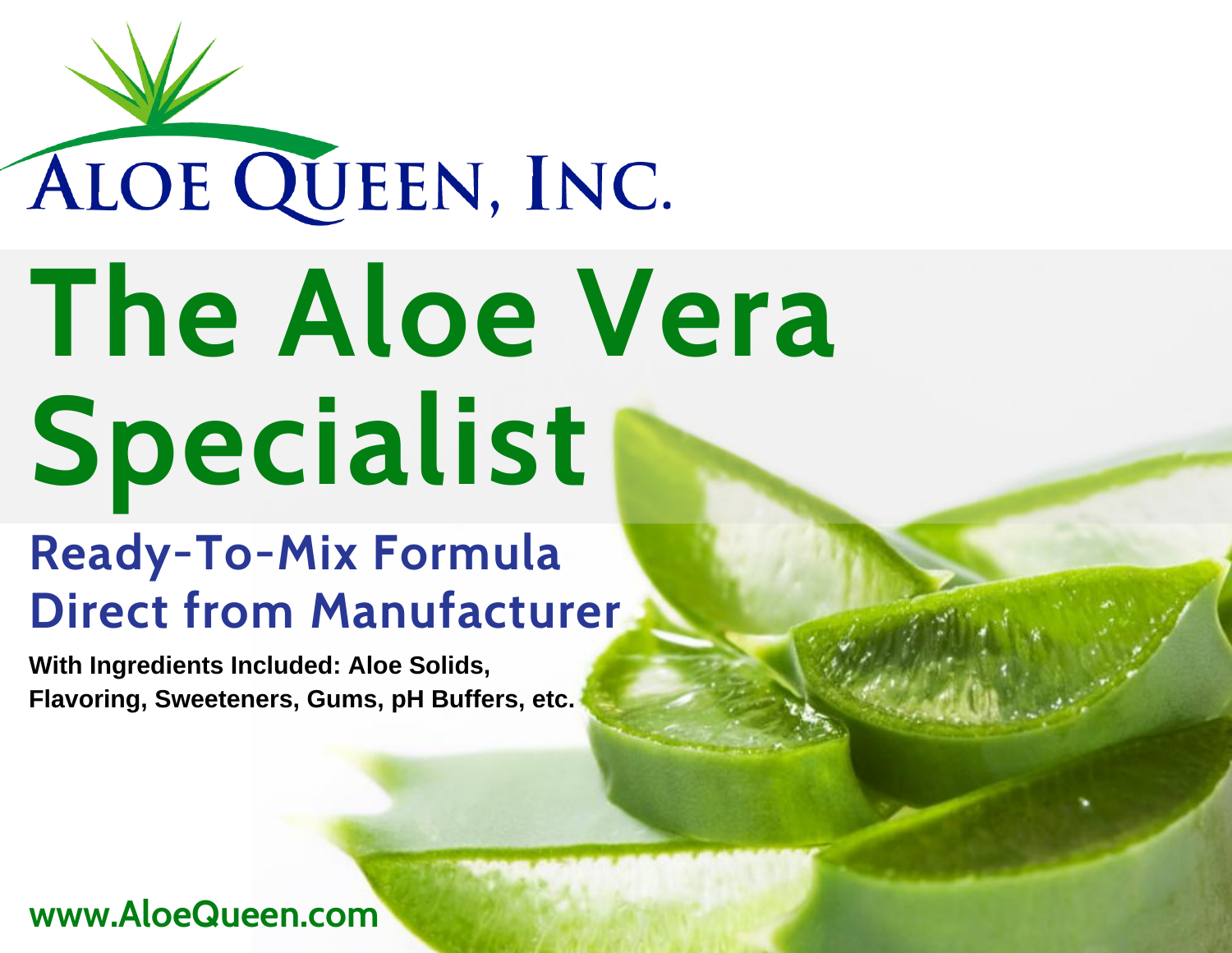# ALOE QUEEN, INC. **The Aloe Vera Specialist**

#### **Ready-To-Mix Formula Direct from Manufacturer**

**With Ingredients Included: Aloe Solids, Flavoring, Sweeteners, Gums, pH Buffers, etc.**

#### **www.AloeQueen.com**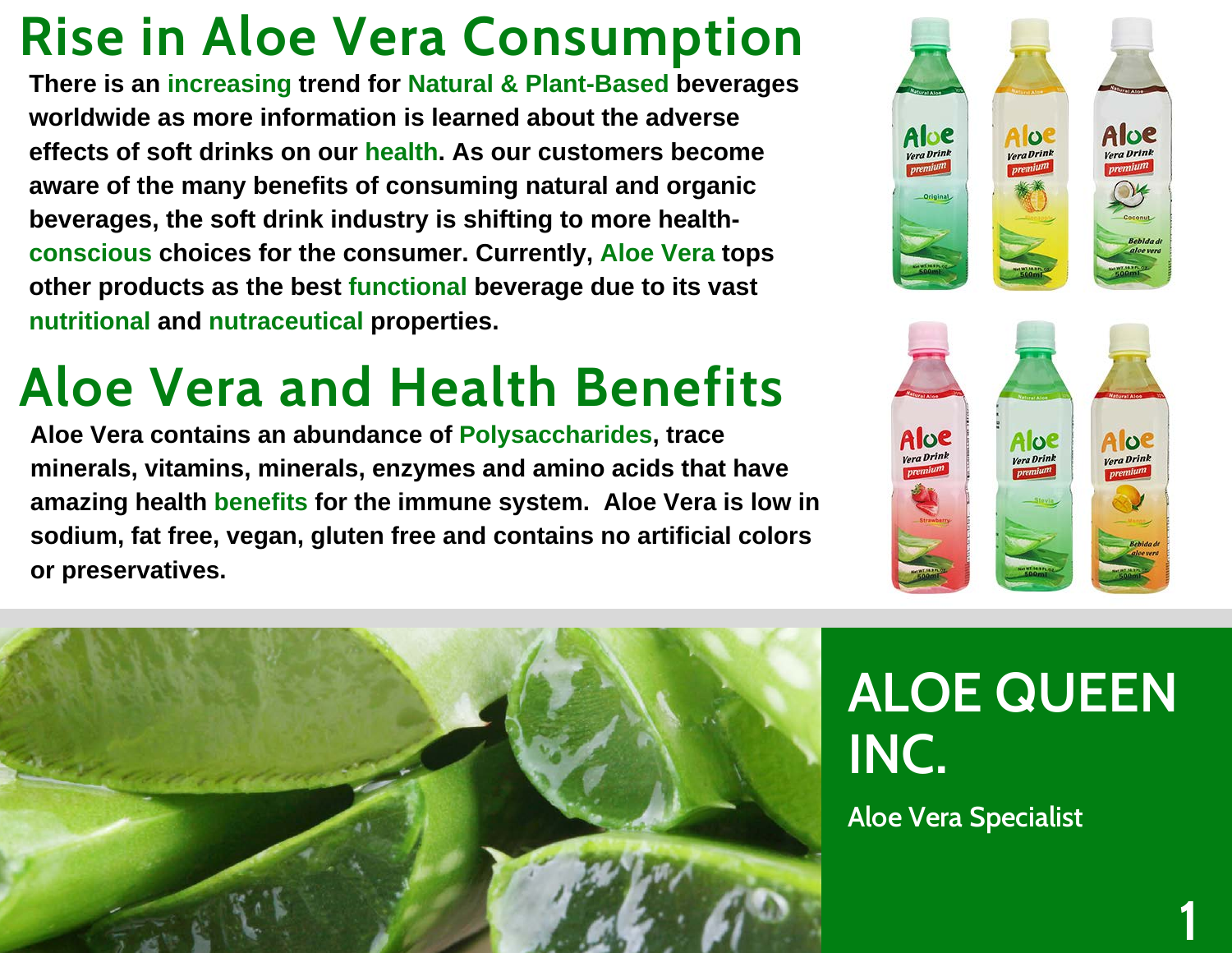## **Rise in Aloe Vera Consumption**

**There is an increasing trend for Natural & Plant-Based beverages worldwide as more information is learned about the adverse effects of soft drinks on our health. As our customers become aware of the many benefits of consuming natural and organic beverages, the soft drink industry is shifting to more healthconscious choices for the consumer. Currently, Aloe Vera tops other products as the best functional beverage due to its vast nutritional and nutraceutical properties.**

#### **Aloe Vera and Health Benefits**

**Aloe Vera contains an abundance of Polysaccharides, trace minerals, vitamins, minerals, enzymes and amino acids that have amazing health benefits for the immune system. Aloe Vera is low in sodium, fat free, vegan, gluten free and contains no artificial colors or preservatives.**







# **ALOE QUEEN INC.**

**1**

**Aloe Vera Specialist**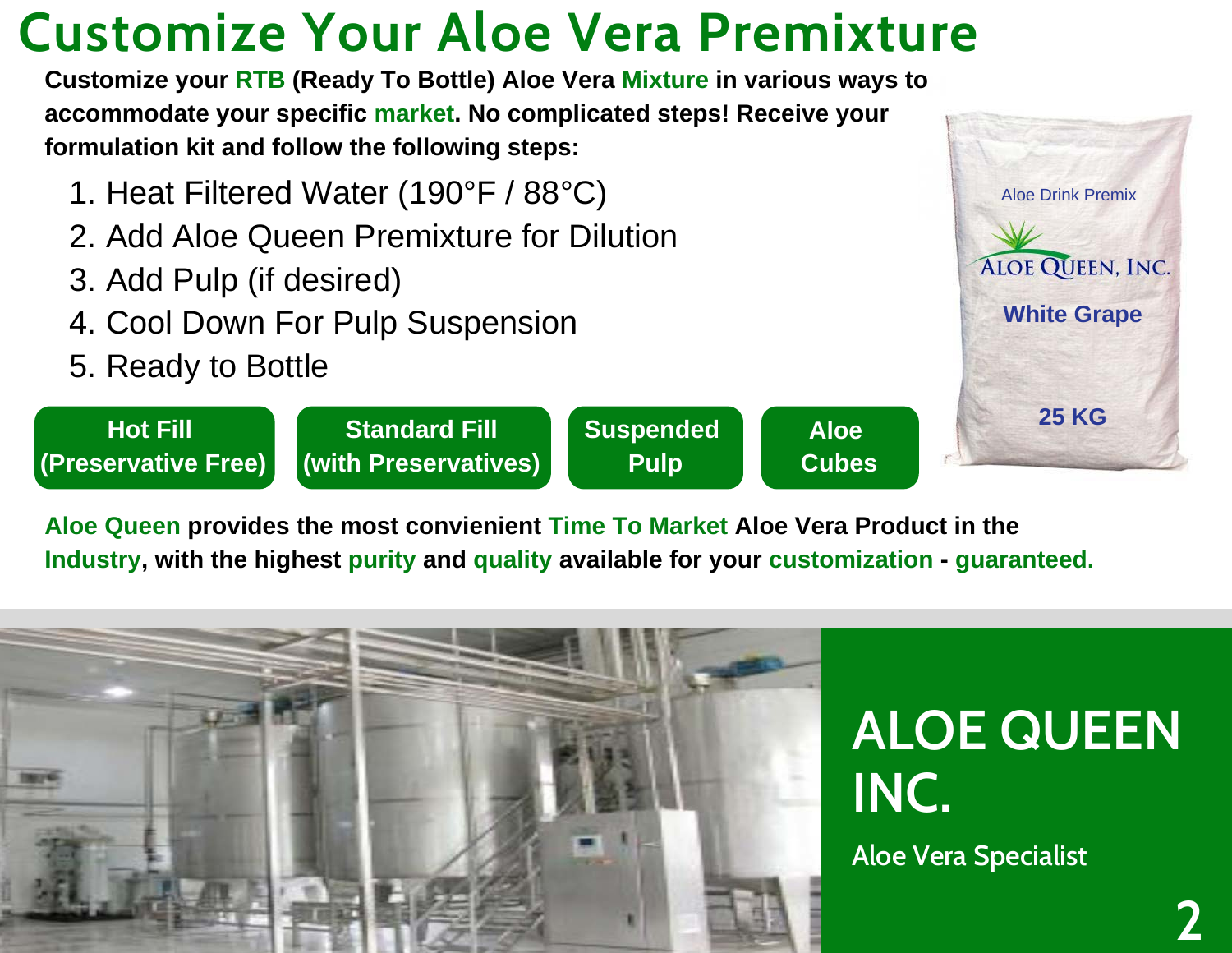#### **Customize Your Aloe Vera Premixture**

**Customize your RTB (Ready To Bottle) Aloe Vera Mixture in various ways to accommodate your specific market. No complicated steps! Receive your formulation kit and follow the following steps:**

- 1. Heat Filtered Water (190°F / 88°C)
- 2. Add Aloe Queen Premixture for Dilution
- 3. Add Pulp (if desired)
- 4. Cool Down For Pulp Suspension
- 5. Ready to Bottle



Aloe Drink Premix

**White Grape**

**ALOE QUEEN, INC.** 

**Aloe Queen provides the most convienient Time To Market Aloe Vera Product in the Industry, with the highest purity and quality available for your customization - guaranteed.**

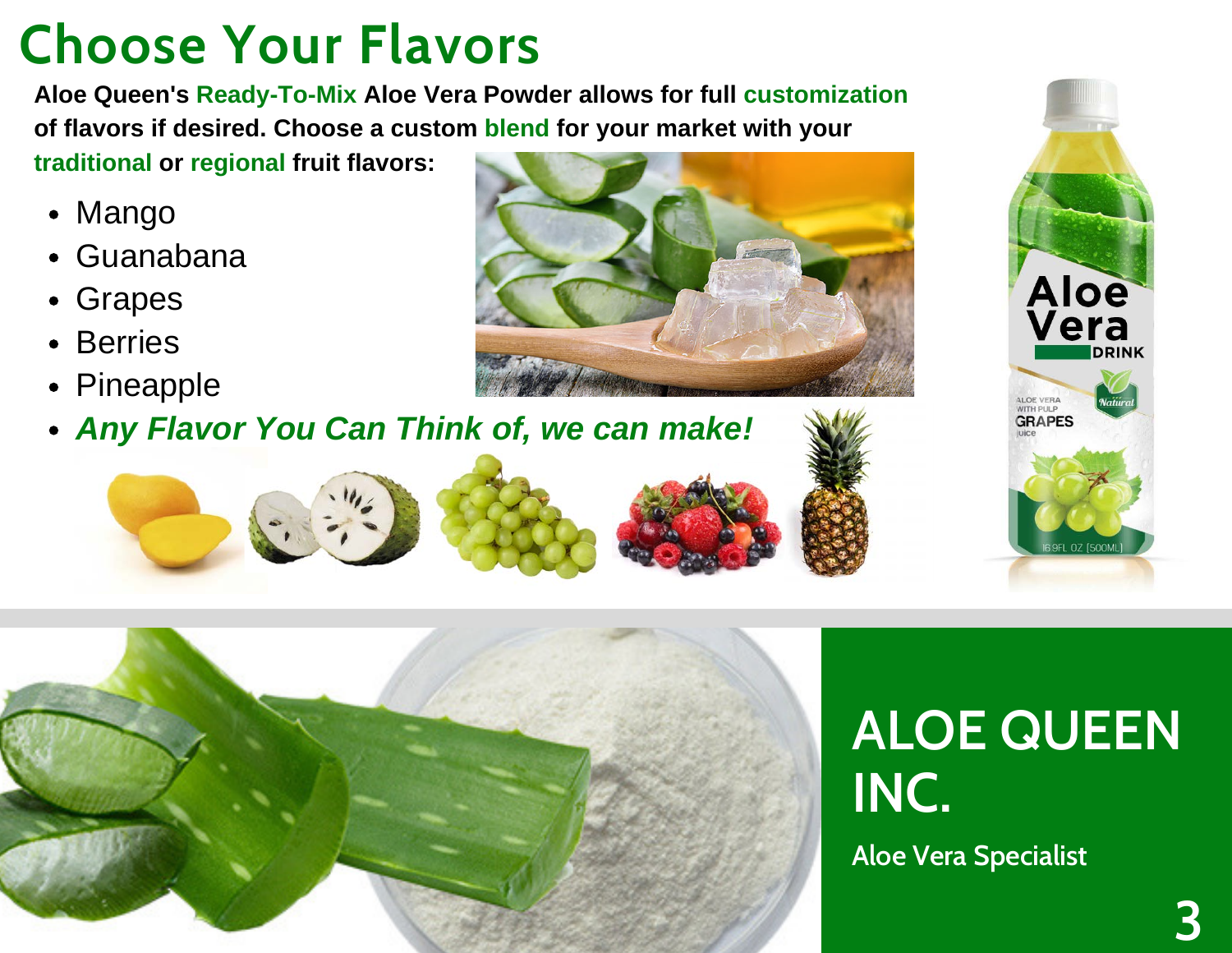## **Choose Your Flavors**

**Aloe Queen's Ready-To-Mix Aloe Vera Powder allows for full customization of flavors if desired. Choose a custom blend for your market with your traditional or regional fruit flavors:**

• Mango

- Guanabana
- Grapes
- Berries
- Pineapple
- *Any Flavor You Can Think of, we can make!*







**Aloe Vera Specialist**

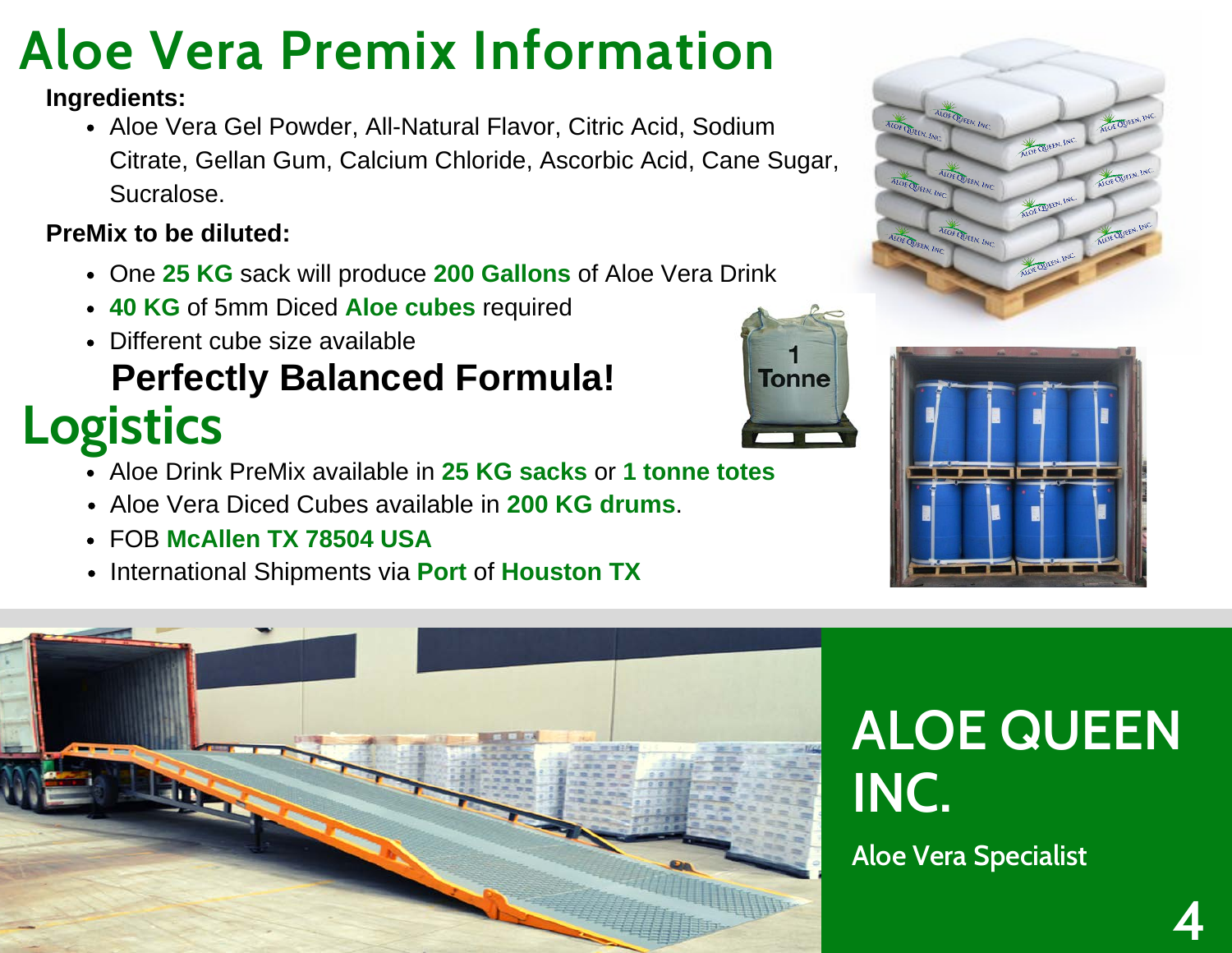## **Aloe Vera Premix Information**

#### **Ingredients:**

• Aloe Vera Gel Powder, All-Natural Flavor, Citric Acid, Sodium Citrate, Gellan Gum, Calcium Chloride, Ascorbic Acid, Cane Sugar, Sucralose.

#### **PreMix to be diluted:**

- One **25 KG** sack will produce **200 Gallons** of Aloe Vera Drink
- **40 KG** of 5mm Diced **Aloe cubes** required
- **Logistics** Different cube size available **Perfectly Balanced Formula!**
	- Aloe Drink PreMix available in **25 KG sacks** or **1 tonne totes**
	- Aloe Vera Diced Cubes available in **200 KG drums**.
	- FOB **McAllen TX 78504 USA**
	- **International Shipments via Port of Houston TX**





**Tonne** 

## **ALOE QUEEN INC.**

**Aloe Vera Specialist**